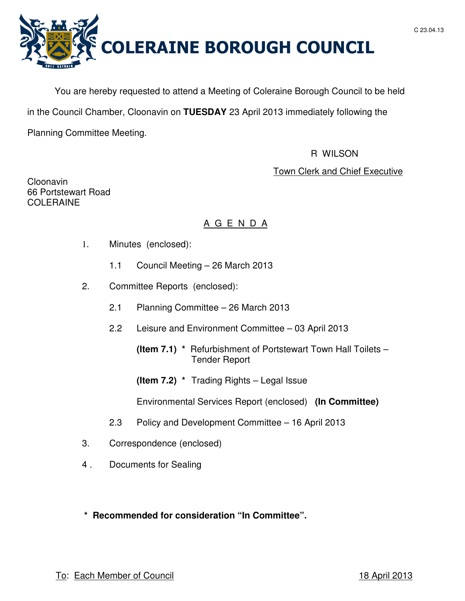



You are hereby requested to attend a Meeting of Coleraine Borough Council to be held

in the Council Chamber, Cloonavin on **TUESDAY** 23 April 2013 immediately following the

Planning Committee Meeting.

# R WILSON

Town Clerk and Chief Executive

Cloonavin 66 Portstewart Road COLERAINE

# A G E N D A

- 1. Minutes (enclosed):
	- 1.1 Council Meeting 26 March 2013
- 2. Committee Reports (enclosed):
	- 2.1 Planning Committee 26 March 2013
	- 2.2 Leisure and Environment Committee 03 April 2013
		- **(Item 7.1) \*** Refurbishment of Portstewart Town Hall Toilets Tender Report
		- **(Item 7.2) \*** Trading Rights Legal Issue

Environmental Services Report (enclosed) **(In Committee)** 

- 2.3 Policy and Development Committee 16 April 2013
- 3. Correspondence (enclosed)
- 4 . Documents for Sealing
- **\* Recommended for consideration "In Committee".**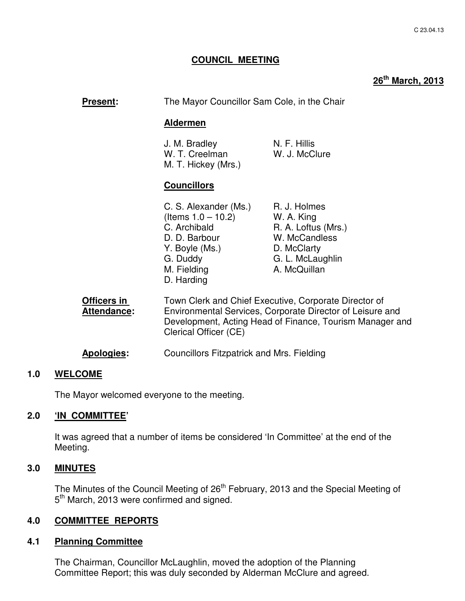# **COUNCIL MEETING**

# **26th March, 2013**

| <b>Present:</b>                   | The Mayor Councillor Sam Cole, in the Chair                                                                                                                                                             |                                                                                                                       |
|-----------------------------------|---------------------------------------------------------------------------------------------------------------------------------------------------------------------------------------------------------|-----------------------------------------------------------------------------------------------------------------------|
|                                   | <b>Aldermen</b>                                                                                                                                                                                         |                                                                                                                       |
|                                   | J. M. Bradley<br>W. T. Creelman<br>M. T. Hickey (Mrs.)                                                                                                                                                  | N. F. Hillis<br>W. J. McClure                                                                                         |
|                                   | <b>Councillors</b>                                                                                                                                                                                      |                                                                                                                       |
|                                   | C. S. Alexander (Ms.)<br>(Items $1.0 - 10.2$ )<br>C. Archibald<br>D. D. Barbour<br>Y. Boyle (Ms.)<br>G. Duddy<br>M. Fielding<br>D. Harding                                                              | R. J. Holmes<br>W. A. King<br>R. A. Loftus (Mrs.)<br>W. McCandless<br>D. McClarty<br>G. L. McLaughlin<br>A. McQuillan |
| Officers in<br><b>Attendance:</b> | Town Clerk and Chief Executive, Corporate Director of<br>Environmental Services, Corporate Director of Leisure and<br>Development, Acting Head of Finance, Tourism Manager and<br>Clerical Officer (CE) |                                                                                                                       |
| Apologies:                        | <b>Councillors Fitzpatrick and Mrs. Fielding</b>                                                                                                                                                        |                                                                                                                       |

# **1.0 WELCOME**

The Mayor welcomed everyone to the meeting.

# **2.0 'IN COMMITTEE'**

 It was agreed that a number of items be considered 'In Committee' at the end of the Meeting.

# **3.0 MINUTES**

The Minutes of the Council Meeting of 26<sup>th</sup> February, 2013 and the Special Meeting of 5<sup>th</sup> March, 2013 were confirmed and signed.

# **4.0 COMMITTEE REPORTS**

# **4.1 Planning Committee**

The Chairman, Councillor McLaughlin, moved the adoption of the Planning Committee Report; this was duly seconded by Alderman McClure and agreed.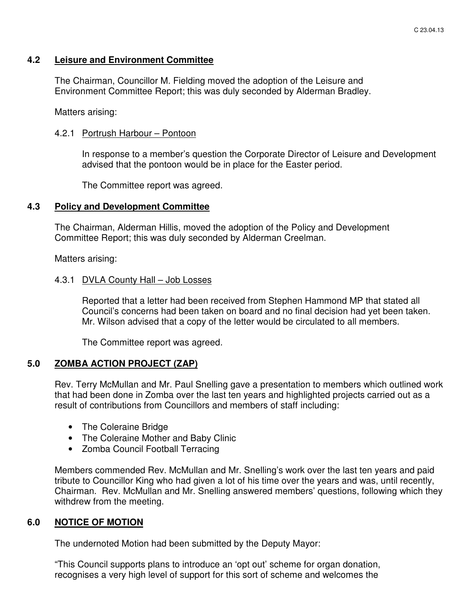# **4.2 Leisure and Environment Committee**

 The Chairman, Councillor M. Fielding moved the adoption of the Leisure and Environment Committee Report; this was duly seconded by Alderman Bradley.

Matters arising:

# 4.2.1 Portrush Harbour – Pontoon

In response to a member's question the Corporate Director of Leisure and Development advised that the pontoon would be in place for the Easter period.

The Committee report was agreed.

# **4.3 Policy and Development Committee**

 The Chairman, Alderman Hillis, moved the adoption of the Policy and Development Committee Report; this was duly seconded by Alderman Creelman.

Matters arising:

# 4.3.1 DVLA County Hall – Job Losses

Reported that a letter had been received from Stephen Hammond MP that stated all Council's concerns had been taken on board and no final decision had yet been taken. Mr. Wilson advised that a copy of the letter would be circulated to all members.

The Committee report was agreed.

# **5.0 ZOMBA ACTION PROJECT (ZAP)**

Rev. Terry McMullan and Mr. Paul Snelling gave a presentation to members which outlined work that had been done in Zomba over the last ten years and highlighted projects carried out as a result of contributions from Councillors and members of staff including:

- The Coleraine Bridge
- The Coleraine Mother and Baby Clinic
- Zomba Council Football Terracing

Members commended Rev. McMullan and Mr. Snelling's work over the last ten years and paid tribute to Councillor King who had given a lot of his time over the years and was, until recently, Chairman. Rev. McMullan and Mr. Snelling answered members' questions, following which they withdrew from the meeting.

# **6.0 NOTICE OF MOTION**

The undernoted Motion had been submitted by the Deputy Mayor:

 "This Council supports plans to introduce an 'opt out' scheme for organ donation, recognises a very high level of support for this sort of scheme and welcomes the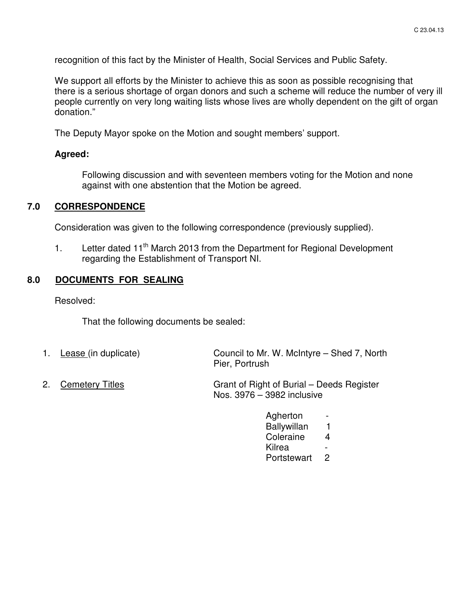recognition of this fact by the Minister of Health, Social Services and Public Safety.

 We support all efforts by the Minister to achieve this as soon as possible recognising that there is a serious shortage of organ donors and such a scheme will reduce the number of very ill people currently on very long waiting lists whose lives are wholly dependent on the gift of organ donation."

The Deputy Mayor spoke on the Motion and sought members' support.

### **Agreed:**

Following discussion and with seventeen members voting for the Motion and none against with one abstention that the Motion be agreed.

# **7.0 CORRESPONDENCE**

Consideration was given to the following correspondence (previously supplied).

1. Letter dated 11<sup>th</sup> March 2013 from the Department for Regional Development regarding the Establishment of Transport NI.

# **8.0 DOCUMENTS FOR SEALING**

Resolved:

That the following documents be sealed:

- 1. Lease (in duplicate) Council to Mr. W. McIntyre – Shed 7, North Pier, Portrush
- 2. Cemetery Titles Grant of Right of Burial – Deeds Register Nos. 3976 – 3982 inclusive
	- Agherton Ballywillan 1 Coleraine 4 **Kilrea** Portstewart 2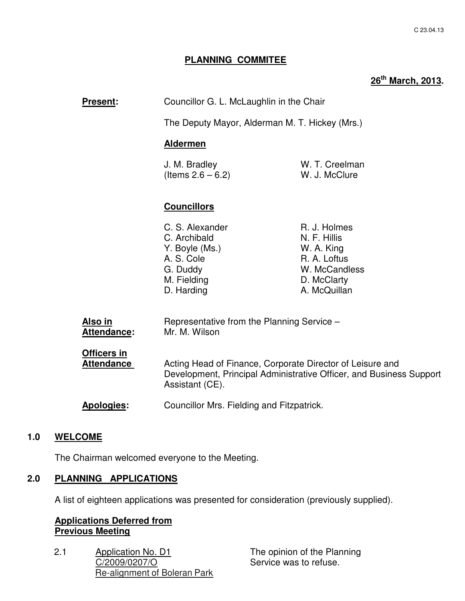# **PLANNING COMMITEE**

# **26th March, 2013.**

| <b>Present:</b> | Councillor G. L. McLaughlin in the Chair       |
|-----------------|------------------------------------------------|
|                 | The Deputy Mayor, Alderman M. T. Hickey (Mrs.) |

## **Aldermen**

| J. M. Bradley        | W. T. Creelman |
|----------------------|----------------|
| (Items $2.6 - 6.2$ ) | W. J. McClure  |

# **Councillors**

| R. J. Holmes<br>C. S. Alexander |  |
|---------------------------------|--|
| N. F. Hillis<br>C. Archibald    |  |
| Y. Boyle (Ms.)<br>W. A. King    |  |
| R. A. Loftus<br>A. S. Cole      |  |
| W. McCandless<br>G. Duddy       |  |
| M. Fielding<br>D. McClarty      |  |
| D. Harding<br>A. McQuillan      |  |

| Also in<br>Attendance:                  | Representative from the Planning Service -<br>Mr. M. Wilson                                                                                         |
|-----------------------------------------|-----------------------------------------------------------------------------------------------------------------------------------------------------|
| <b>Officers in</b><br><b>Attendance</b> | Acting Head of Finance, Corporate Director of Leisure and<br>Development, Principal Administrative Officer, and Business Support<br>Assistant (CE). |
| <b>Apologies:</b>                       | Councillor Mrs. Fielding and Fitzpatrick.                                                                                                           |

# **1.0 WELCOME**

The Chairman welcomed everyone to the Meeting.

# **2.0 PLANNING APPLICATIONS**

A list of eighteen applications was presented for consideration (previously supplied).

# **Applications Deferred from Previous Meeting**

2.1 Application No. D1 C/2009/0207/O Re-alignment of Boleran Park

The opinion of the Planning Service was to refuse.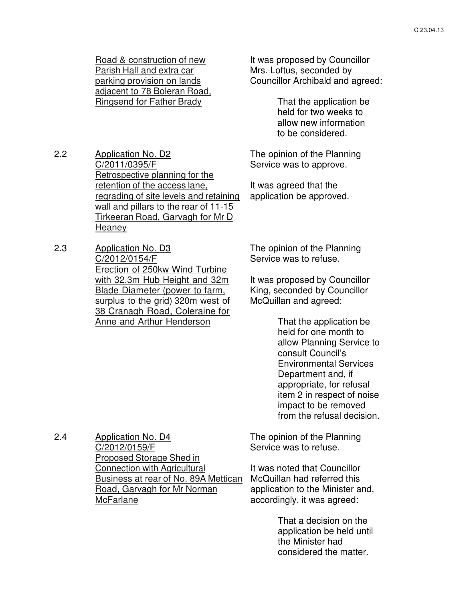Road & construction of new Parish Hall and extra car parking provision on lands adjacent to 78 Boleran Road, Ringsend for Father Brady

2.2 Application No. D2 C/2011/0395/F Retrospective planning for the retention of the access lane, regrading of site levels and retaining wall and pillars to the rear of 11-15 Tirkeeran Road, Garvagh for Mr D **Heaney** 

2.3 Application No. D3 C/2012/0154/F Erection of 250kw Wind Turbine with 32.3m Hub Height and 32m Blade Diameter (power to farm, surplus to the grid) 320m west of 38 Cranagh Road, Coleraine for Anne and Arthur Henderson

2.4 Application No. D4

McFarlane

C/2012/0159/F

Proposed Storage Shed in Connection with Agricultural

Road, Garvagh for Mr Norman

Business at rear of No. 89A Mettican

It was proposed by Councillor Mrs. Loftus, seconded by Councillor Archibald and agreed:

> That the application be held for two weeks to allow new information to be considered.

The opinion of the Planning Service was to approve.

It was agreed that the application be approved.

The opinion of the Planning Service was to refuse.

It was proposed by Councillor King, seconded by Councillor McQuillan and agreed:

> That the application be held for one month to allow Planning Service to consult Council's Environmental Services Department and, if appropriate, for refusal item 2 in respect of noise impact to be removed from the refusal decision.

The opinion of the Planning Service was to refuse.

> It was noted that Councillor McQuillan had referred this application to the Minister and, accordingly, it was agreed:

> > That a decision on the application be held until the Minister had considered the matter.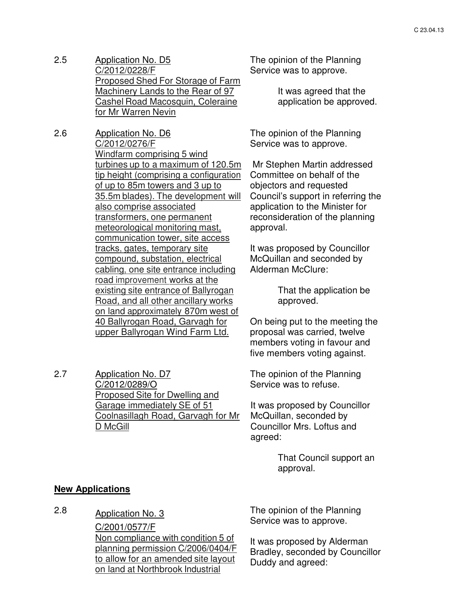- 2.5 Application No. D5 C/2012/0228/F Proposed Shed For Storage of Farm Machinery Lands to the Rear of 97 Cashel Road Macosquin, Coleraine for Mr Warren Nevin
- 2.6 Application No. D6 C/2012/0276/F Windfarm comprising 5 wind turbines up to a maximum of 120.5m tip height (comprising a configuration of up to 85m towers and 3 up to 35.5m blades). The development will also comprise associated transformers, one permanent meteorological monitoring mast, communication tower, site access tracks, gates, temporary site compound, substation, electrical cabling, one site entrance including road improvement works at the existing site entrance of Ballyrogan Road, and all other ancillary works on land approximately 870m west of 40 Ballyrogan Road, Garvagh for upper Ballyrogan Wind Farm Ltd.
- 2.7 Application No. D7 C/2012/0289/O Proposed Site for Dwelling and Garage immediately SE of 51 Coolnasillagh Road, Garvagh for Mr D McGill

The opinion of the Planning Service was to approve.

> It was agreed that the application be approved.

The opinion of the Planning Service was to approve.

 Mr Stephen Martin addressed Committee on behalf of the objectors and requested Council's support in referring the application to the Minister for reconsideration of the planning approval.

It was proposed by Councillor McQuillan and seconded by Alderman McClure:

> That the application be approved.

On being put to the meeting the proposal was carried, twelve members voting in favour and five members voting against.

The opinion of the Planning Service was to refuse.

It was proposed by Councillor McQuillan, seconded by Councillor Mrs. Loftus and agreed:

> That Council support an approval.

### **New Applications**

2.8 Application No. 3

C/2001/0577/F Non compliance with condition 5 of planning permission C/2006/0404/F to allow for an amended site layout on land at Northbrook Industrial

The opinion of the Planning Service was to approve.

It was proposed by Alderman Bradley, seconded by Councillor Duddy and agreed: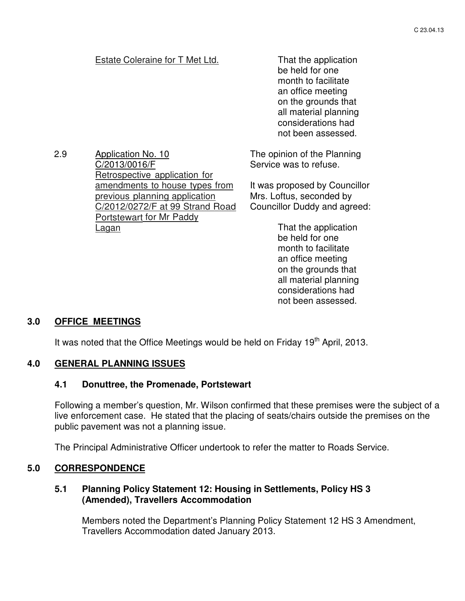# Estate Coleraine for T Met Ltd. That the application

be held for one month to facilitate an office meeting on the grounds that all material planning considerations had not been assessed.

2.9 Application No. 10 C/2013/0016/F Retrospective application for amendments to house types from previous planning application C/2012/0272/F at 99 Strand Road Portstewart for Mr Paddy

The opinion of the Planning Service was to refuse.

It was proposed by Councillor Mrs. Loftus, seconded by Councillor Duddy and agreed:

> That the application be held for one month to facilitate an office meeting on the grounds that all material planning considerations had not been assessed.

### **3.0 OFFICE MEETINGS**

It was noted that the Office Meetings would be held on Friday 19<sup>th</sup> April, 2013.

# **4.0 GENERAL PLANNING ISSUES**

Lagan

# **4.1 Donuttree, the Promenade, Portstewart**

Following a member's question, Mr. Wilson confirmed that these premises were the subject of a live enforcement case. He stated that the placing of seats/chairs outside the premises on the public pavement was not a planning issue.

The Principal Administrative Officer undertook to refer the matter to Roads Service.

# **5.0 CORRESPONDENCE**

# **5.1 Planning Policy Statement 12: Housing in Settlements, Policy HS 3 (Amended), Travellers Accommodation**

Members noted the Department's Planning Policy Statement 12 HS 3 Amendment, Travellers Accommodation dated January 2013.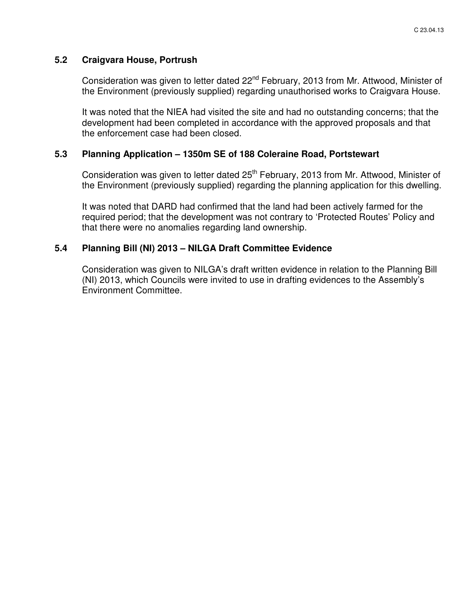# **5.2 Craigvara House, Portrush**

Consideration was given to letter dated 22<sup>nd</sup> February, 2013 from Mr. Attwood, Minister of the Environment (previously supplied) regarding unauthorised works to Craigvara House.

It was noted that the NIEA had visited the site and had no outstanding concerns; that the development had been completed in accordance with the approved proposals and that the enforcement case had been closed.

# **5.3 Planning Application – 1350m SE of 188 Coleraine Road, Portstewart**

Consideration was given to letter dated 25<sup>th</sup> February, 2013 from Mr. Attwood, Minister of the Environment (previously supplied) regarding the planning application for this dwelling.

It was noted that DARD had confirmed that the land had been actively farmed for the required period; that the development was not contrary to 'Protected Routes' Policy and that there were no anomalies regarding land ownership.

# **5.4 Planning Bill (NI) 2013 – NILGA Draft Committee Evidence**

Consideration was given to NILGA's draft written evidence in relation to the Planning Bill (NI) 2013, which Councils were invited to use in drafting evidences to the Assembly's Environment Committee.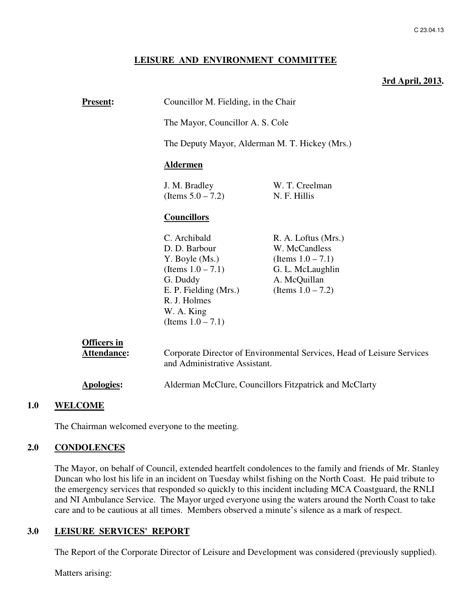#### **LEISURE AND ENVIRONMENT COMMITTEE**

#### **3rd April, 2013.**

| <b>Present:</b>                   | Councillor M. Fielding, in the Chair                                                                                                                               |                                                                                                                          |  |
|-----------------------------------|--------------------------------------------------------------------------------------------------------------------------------------------------------------------|--------------------------------------------------------------------------------------------------------------------------|--|
|                                   | The Mayor, Councillor A. S. Cole                                                                                                                                   |                                                                                                                          |  |
|                                   | The Deputy Mayor, Alderman M. T. Hickey (Mrs.)                                                                                                                     |                                                                                                                          |  |
|                                   | <b>Aldermen</b>                                                                                                                                                    |                                                                                                                          |  |
|                                   | J. M. Bradley<br>(Items $5.0 - 7.2$ )                                                                                                                              | W. T. Creelman<br>N. F. Hillis                                                                                           |  |
|                                   | <b>Councillors</b>                                                                                                                                                 |                                                                                                                          |  |
|                                   | C. Archibald<br>D. D. Barbour<br>Y. Boyle (Ms.)<br>(Items $1.0 - 7.1$ )<br>G. Duddy<br>E. P. Fielding (Mrs.)<br>R. J. Holmes<br>W. A. King<br>(Items $1.0 - 7.1$ ) | R. A. Loftus (Mrs.)<br>W. McCandless<br>(Items $1.0 - 7.1$ )<br>G. L. McLaughlin<br>A. McQuillan<br>(Items $1.0 - 7.2$ ) |  |
| <b>Officers in</b><br>Attendance: | and Administrative Assistant.                                                                                                                                      | Corporate Director of Environmental Services, Head of Leisure Services                                                   |  |
| <b>Apologies:</b>                 | Alderman McClure, Councillors Fitzpatrick and McClarty                                                                                                             |                                                                                                                          |  |

# **1.0 WELCOME**

The Chairman welcomed everyone to the meeting.

# **2.0 CONDOLENCES**

 The Mayor, on behalf of Council, extended heartfelt condolences to the family and friends of Mr. Stanley Duncan who lost his life in an incident on Tuesday whilst fishing on the North Coast. He paid tribute to the emergency services that responded so quickly to this incident including MCA Coastguard, the RNLI and NI Ambulance Service. The Mayor urged everyone using the waters around the North Coast to take care and to be cautious at all times. Members observed a minute's silence as a mark of respect.

#### **3.0 LEISURE SERVICES' REPORT**

The Report of the Corporate Director of Leisure and Development was considered (previously supplied).

Matters arising: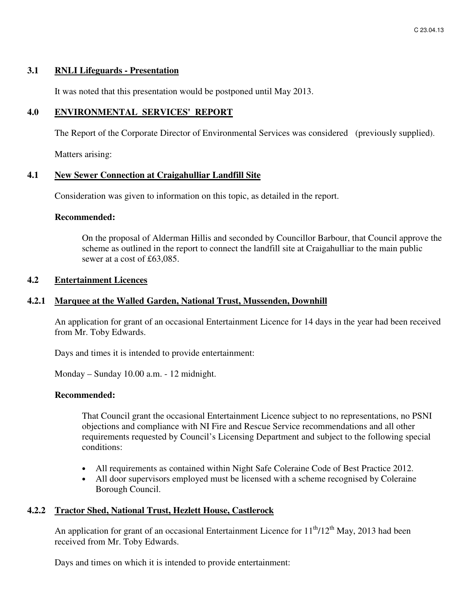### **3.1 RNLI Lifeguards - Presentation**

It was noted that this presentation would be postponed until May 2013.

### **4.0 ENVIRONMENTAL SERVICES' REPORT**

The Report of the Corporate Director of Environmental Services was considered (previously supplied).

Matters arising:

### **4.1 New Sewer Connection at Craigahulliar Landfill Site**

Consideration was given to information on this topic, as detailed in the report.

#### **Recommended:**

On the proposal of Alderman Hillis and seconded by Councillor Barbour, that Council approve the scheme as outlined in the report to connect the landfill site at Craigahulliar to the main public sewer at a cost of £63,085.

# **4.2 Entertainment Licences**

### **4.2.1 Marquee at the Walled Garden, National Trust, Mussenden, Downhill**

An application for grant of an occasional Entertainment Licence for 14 days in the year had been received from Mr. Toby Edwards.

Days and times it is intended to provide entertainment:

Monday – Sunday 10.00 a.m. - 12 midnight.

#### **Recommended:**

That Council grant the occasional Entertainment Licence subject to no representations, no PSNI objections and compliance with NI Fire and Rescue Service recommendations and all other requirements requested by Council's Licensing Department and subject to the following special conditions:

- All requirements as contained within Night Safe Coleraine Code of Best Practice 2012.
- All door supervisors employed must be licensed with a scheme recognised by Coleraine Borough Council.

# **4.2.2 Tractor Shed, National Trust, Hezlett House, Castlerock**

An application for grant of an occasional Entertainment Licence for  $11<sup>th</sup>/12<sup>th</sup>$  May, 2013 had been received from Mr. Toby Edwards.

Days and times on which it is intended to provide entertainment: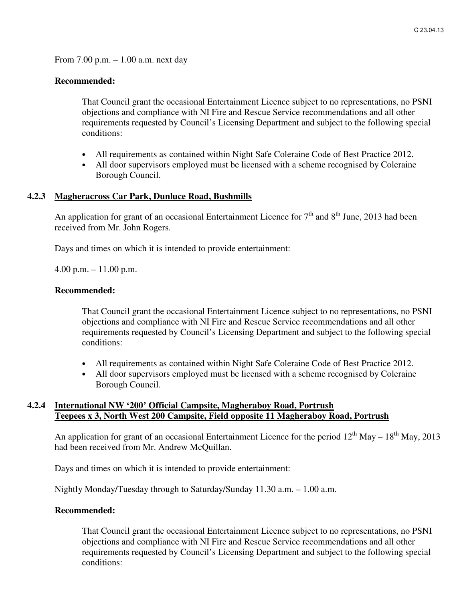From 7.00 p.m. – 1.00 a.m. next day

#### **Recommended:**

That Council grant the occasional Entertainment Licence subject to no representations, no PSNI objections and compliance with NI Fire and Rescue Service recommendations and all other requirements requested by Council's Licensing Department and subject to the following special conditions:

- All requirements as contained within Night Safe Coleraine Code of Best Practice 2012.
- All door supervisors employed must be licensed with a scheme recognised by Coleraine Borough Council.

#### **4.2.3 Magheracross Car Park, Dunluce Road, Bushmills**

An application for grant of an occasional Entertainment Licence for  $7<sup>th</sup>$  and  $8<sup>th</sup>$  June, 2013 had been received from Mr. John Rogers.

Days and times on which it is intended to provide entertainment:

4.00 p.m. – 11.00 p.m.

#### **Recommended:**

That Council grant the occasional Entertainment Licence subject to no representations, no PSNI objections and compliance with NI Fire and Rescue Service recommendations and all other requirements requested by Council's Licensing Department and subject to the following special conditions:

- All requirements as contained within Night Safe Coleraine Code of Best Practice 2012.
- All door supervisors employed must be licensed with a scheme recognised by Coleraine Borough Council.

# **4.2.4 International NW '200' Official Campsite, Magheraboy Road, Portrush Teepees x 3, North West 200 Campsite, Field opposite 11 Magheraboy Road, Portrush**

An application for grant of an occasional Entertainment Licence for the period  $12^{th}$  May –  $18^{th}$  May, 2013 had been received from Mr. Andrew McQuillan.

Days and times on which it is intended to provide entertainment:

Nightly Monday/Tuesday through to Saturday/Sunday 11.30 a.m. – 1.00 a.m.

### **Recommended:**

That Council grant the occasional Entertainment Licence subject to no representations, no PSNI objections and compliance with NI Fire and Rescue Service recommendations and all other requirements requested by Council's Licensing Department and subject to the following special conditions: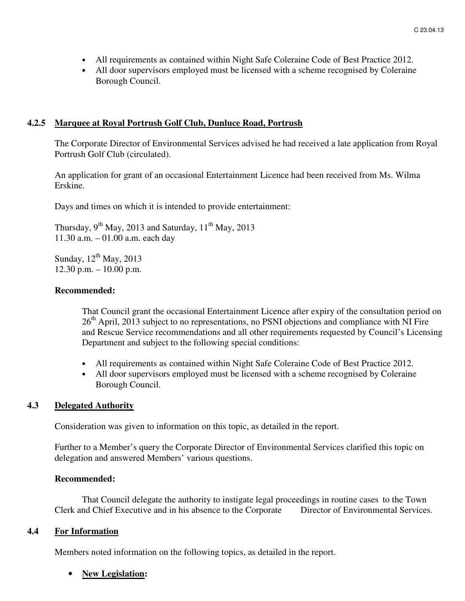- All requirements as contained within Night Safe Coleraine Code of Best Practice 2012.
- All door supervisors employed must be licensed with a scheme recognised by Coleraine Borough Council.

## **4.2.5 Marquee at Royal Portrush Golf Club, Dunluce Road, Portrush**

The Corporate Director of Environmental Services advised he had received a late application from Royal Portrush Golf Club (circulated).

An application for grant of an occasional Entertainment Licence had been received from Ms. Wilma Erskine.

Days and times on which it is intended to provide entertainment:

Thursday,  $9^{th}$  May, 2013 and Saturday,  $11^{th}$  May, 2013 11.30 a.m. – 01.00 a.m. each day

Sunday,  $12^{th}$  May, 2013 12.30 p.m. – 10.00 p.m.

# **Recommended:**

That Council grant the occasional Entertainment Licence after expiry of the consultation period on  $26<sup>th</sup>$  April, 2013 subject to no representations, no PSNI objections and compliance with NI Fire and Rescue Service recommendations and all other requirements requested by Council's Licensing Department and subject to the following special conditions:

- All requirements as contained within Night Safe Coleraine Code of Best Practice 2012.
- All door supervisors employed must be licensed with a scheme recognised by Coleraine Borough Council.

# **4.3 Delegated Authority**

Consideration was given to information on this topic, as detailed in the report.

Further to a Member's query the Corporate Director of Environmental Services clarified this topic on delegation and answered Members' various questions.

### **Recommended:**

That Council delegate the authority to instigate legal proceedings in routine cases to the Town Clerk and Chief Executive and in his absence to the Corporate Director of Environmental Services.

### **4.4 For Information**

Members noted information on the following topics, as detailed in the report.

### • **New Legislation:**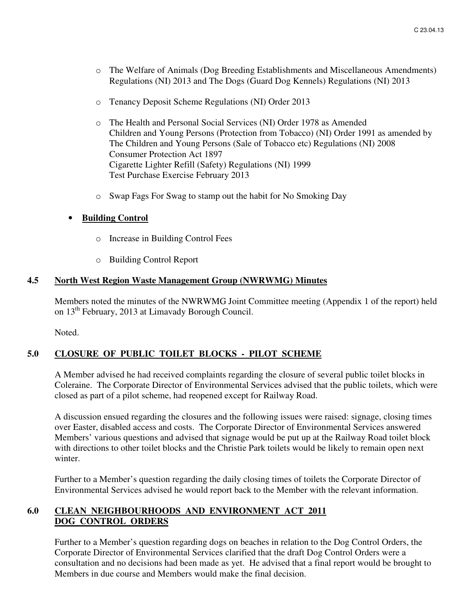- o The Welfare of Animals (Dog Breeding Establishments and Miscellaneous Amendments) Regulations (NI) 2013 and The Dogs (Guard Dog Kennels) Regulations (NI) 2013
- o Tenancy Deposit Scheme Regulations (NI) Order 2013
- o The Health and Personal Social Services (NI) Order 1978 as Amended Children and Young Persons (Protection from Tobacco) (NI) Order 1991 as amended by The Children and Young Persons (Sale of Tobacco etc) Regulations (NI) 2008 Consumer Protection Act 1897 Cigarette Lighter Refill (Safety) Regulations (NI) 1999 Test Purchase Exercise February 2013
- o Swap Fags For Swag to stamp out the habit for No Smoking Day

# • **Building Control**

- o Increase in Building Control Fees
- o Building Control Report

### **4.5 North West Region Waste Management Group (NWRWMG) Minutes**

Members noted the minutes of the NWRWMG Joint Committee meeting (Appendix 1 of the report) held on 13th February, 2013 at Limavady Borough Council.

Noted.

# **5.0 CLOSURE OF PUBLIC TOILET BLOCKS - PILOT SCHEME**

A Member advised he had received complaints regarding the closure of several public toilet blocks in Coleraine. The Corporate Director of Environmental Services advised that the public toilets, which were closed as part of a pilot scheme, had reopened except for Railway Road.

A discussion ensued regarding the closures and the following issues were raised: signage, closing times over Easter, disabled access and costs. The Corporate Director of Environmental Services answered Members' various questions and advised that signage would be put up at the Railway Road toilet block with directions to other toilet blocks and the Christie Park toilets would be likely to remain open next winter.

Further to a Member's question regarding the daily closing times of toilets the Corporate Director of Environmental Services advised he would report back to the Member with the relevant information.

# **6.0 CLEAN NEIGHBOURHOODS AND ENVIRONMENT ACT 2011 DOG CONTROL ORDERS**

Further to a Member's question regarding dogs on beaches in relation to the Dog Control Orders, the Corporate Director of Environmental Services clarified that the draft Dog Control Orders were a consultation and no decisions had been made as yet. He advised that a final report would be brought to Members in due course and Members would make the final decision.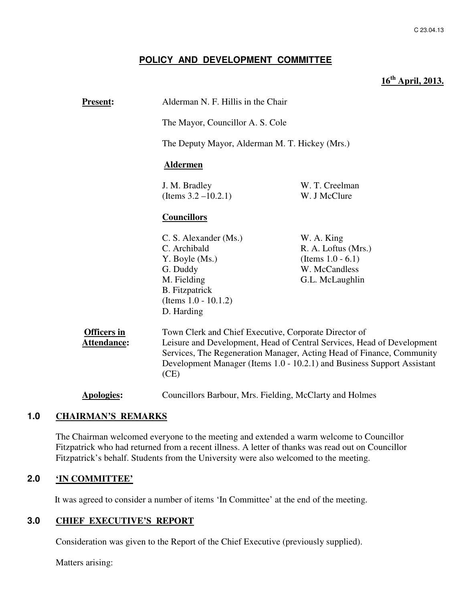# **POLICY AND DEVELOPMENT COMMITTEE**

# **16th April, 2013.**

| <b>Present:</b>                          | Alderman N. F. Hillis in the Chair                                                                                                                                                                                                                                                          |                                                                                               |
|------------------------------------------|---------------------------------------------------------------------------------------------------------------------------------------------------------------------------------------------------------------------------------------------------------------------------------------------|-----------------------------------------------------------------------------------------------|
|                                          | The Mayor, Councillor A. S. Cole                                                                                                                                                                                                                                                            |                                                                                               |
|                                          | The Deputy Mayor, Alderman M. T. Hickey (Mrs.)                                                                                                                                                                                                                                              |                                                                                               |
|                                          | <b>Aldermen</b>                                                                                                                                                                                                                                                                             |                                                                                               |
|                                          | J. M. Bradley<br>(Items $3.2 - 10.2.1$ )                                                                                                                                                                                                                                                    | W. T. Creelman<br>W. J McClure                                                                |
|                                          | <b>Councillors</b>                                                                                                                                                                                                                                                                          |                                                                                               |
|                                          | C. S. Alexander (Ms.)<br>C. Archibald<br>Y. Boyle (Ms.)<br>G. Duddy<br>M. Fielding<br><b>B.</b> Fitzpatrick<br>(Items $1.0 - 10.1.2$ )<br>D. Harding                                                                                                                                        | W. A. King<br>R. A. Loftus (Mrs.)<br>(Items $1.0 - 6.1$ )<br>W. McCandless<br>G.L. McLaughlin |
| <b>Officers in</b><br><b>Attendance:</b> | Town Clerk and Chief Executive, Corporate Director of<br>Leisure and Development, Head of Central Services, Head of Development<br>Services, The Regeneration Manager, Acting Head of Finance, Community<br>Development Manager (Items 1.0 - 10.2.1) and Business Support Assistant<br>(CE) |                                                                                               |
| <b>Apologies:</b>                        | Councillors Barbour, Mrs. Fielding, McClarty and Holmes                                                                                                                                                                                                                                     |                                                                                               |

### **1.0 CHAIRMAN'S REMARKS**

The Chairman welcomed everyone to the meeting and extended a warm welcome to Councillor Fitzpatrick who had returned from a recent illness. A letter of thanks was read out on Councillor Fitzpatrick's behalf. Students from the University were also welcomed to the meeting.

# **2.0 'IN COMMITTEE'**

It was agreed to consider a number of items 'In Committee' at the end of the meeting.

### **3.0 CHIEF EXECUTIVE'S REPORT**

Consideration was given to the Report of the Chief Executive (previously supplied).

Matters arising: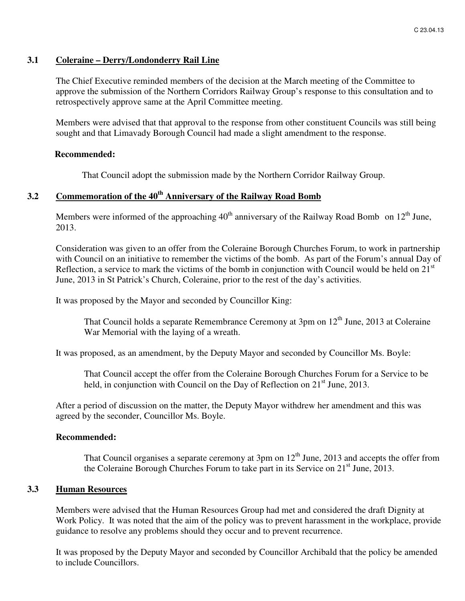#### **3.1 Coleraine – Derry/Londonderry Rail Line**

The Chief Executive reminded members of the decision at the March meeting of the Committee to approve the submission of the Northern Corridors Railway Group's response to this consultation and to retrospectively approve same at the April Committee meeting.

Members were advised that that approval to the response from other constituent Councils was still being sought and that Limavady Borough Council had made a slight amendment to the response.

#### **Recommended:**

That Council adopt the submission made by the Northern Corridor Railway Group.

# **3.2 Commemoration of the 40th Anniversary of the Railway Road Bomb**

Members were informed of the approaching  $40<sup>th</sup>$  anniversary of the Railway Road Bomb on  $12<sup>th</sup>$  June, 2013.

Consideration was given to an offer from the Coleraine Borough Churches Forum, to work in partnership with Council on an initiative to remember the victims of the bomb. As part of the Forum's annual Day of Reflection, a service to mark the victims of the bomb in conjunction with Council would be held on  $21<sup>st</sup>$ June, 2013 in St Patrick's Church, Coleraine, prior to the rest of the day's activities.

It was proposed by the Mayor and seconded by Councillor King:

That Council holds a separate Remembrance Ceremony at 3pm on 12<sup>th</sup> June, 2013 at Coleraine War Memorial with the laying of a wreath.

It was proposed, as an amendment, by the Deputy Mayor and seconded by Councillor Ms. Boyle:

That Council accept the offer from the Coleraine Borough Churches Forum for a Service to be held, in conjunction with Council on the Day of Reflection on  $21<sup>st</sup>$  June, 2013.

After a period of discussion on the matter, the Deputy Mayor withdrew her amendment and this was agreed by the seconder, Councillor Ms. Boyle.

#### **Recommended:**

That Council organises a separate ceremony at  $3 \text{pm}$  on  $12^{\text{th}}$  June, 2013 and accepts the offer from the Coleraine Borough Churches Forum to take part in its Service on  $21<sup>st</sup>$  June, 2013.

#### **3.3 Human Resources**

Members were advised that the Human Resources Group had met and considered the draft Dignity at Work Policy. It was noted that the aim of the policy was to prevent harassment in the workplace, provide guidance to resolve any problems should they occur and to prevent recurrence.

It was proposed by the Deputy Mayor and seconded by Councillor Archibald that the policy be amended to include Councillors.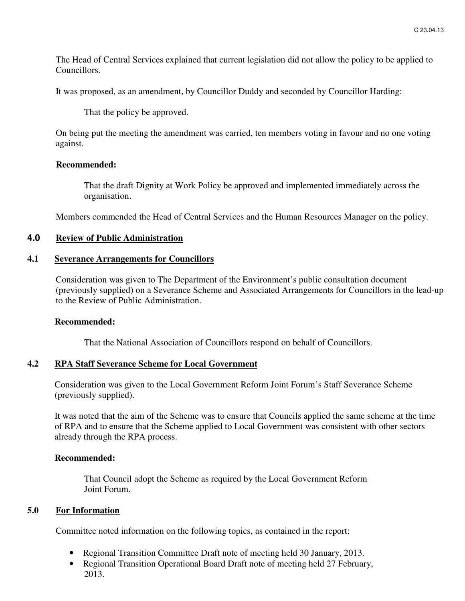The Head of Central Services explained that current legislation did not allow the policy to be applied to Councillors.

It was proposed, as an amendment, by Councillor Duddy and seconded by Councillor Harding:

That the policy be approved.

On being put the meeting the amendment was carried, ten members voting in favour and no one voting against.

#### **Recommended:**

That the draft Dignity at Work Policy be approved and implemented immediately across the organisation.

Members commended the Head of Central Services and the Human Resources Manager on the policy.

# **4.0 Review of Public Administration**

### **4.1 Severance Arrangements for Councillors**

Consideration was given to The Department of the Environment's public consultation document (previously supplied) on a Severance Scheme and Associated Arrangements for Councillors in the lead-up to the Review of Public Administration.

#### **Recommended:**

That the National Association of Councillors respond on behalf of Councillors.

### **4.2 RPA Staff Severance Scheme for Local Government**

Consideration was given to the Local Government Reform Joint Forum's Staff Severance Scheme (previously supplied).

It was noted that the aim of the Scheme was to ensure that Councils applied the same scheme at the time of RPA and to ensure that the Scheme applied to Local Government was consistent with other sectors already through the RPA process.

### **Recommended:**

That Council adopt the Scheme as required by the Local Government Reform Joint Forum.

### **5.0 For Information**

Committee noted information on the following topics, as contained in the report:

- Regional Transition Committee Draft note of meeting held 30 January, 2013.
- Regional Transition Operational Board Draft note of meeting held 27 February, 2013.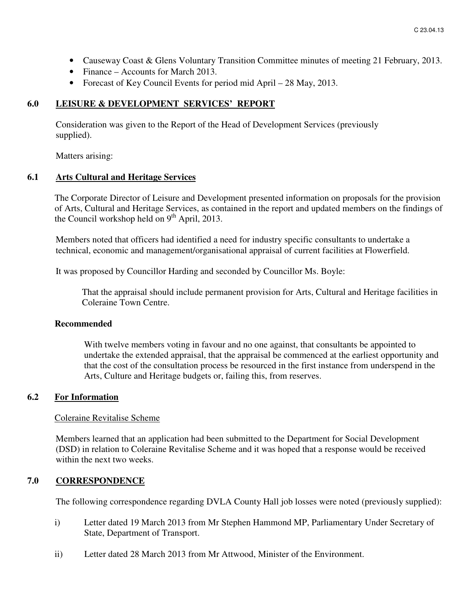- Causeway Coast & Glens Voluntary Transition Committee minutes of meeting 21 February, 2013.
- Finance Accounts for March 2013.
- Forecast of Key Council Events for period mid April 28 May, 2013.

#### **6.0 LEISURE & DEVELOPMENT SERVICES' REPORT**

 Consideration was given to the Report of the Head of Development Services (previously supplied).

Matters arising:

#### **6.1 Arts Cultural and Heritage Services**

The Corporate Director of Leisure and Development presented information on proposals for the provision of Arts, Cultural and Heritage Services, as contained in the report and updated members on the findings of the Council workshop held on  $9<sup>th</sup>$  April, 2013.

Members noted that officers had identified a need for industry specific consultants to undertake a technical, economic and management/organisational appraisal of current facilities at Flowerfield.

It was proposed by Councillor Harding and seconded by Councillor Ms. Boyle:

That the appraisal should include permanent provision for Arts, Cultural and Heritage facilities in Coleraine Town Centre.

#### **Recommended**

With twelve members voting in favour and no one against, that consultants be appointed to undertake the extended appraisal, that the appraisal be commenced at the earliest opportunity and that the cost of the consultation process be resourced in the first instance from underspend in the Arts, Culture and Heritage budgets or, failing this, from reserves.

#### **6.2 For Information**

#### Coleraine Revitalise Scheme

Members learned that an application had been submitted to the Department for Social Development (DSD) in relation to Coleraine Revitalise Scheme and it was hoped that a response would be received within the next two weeks.

# **7.0 CORRESPONDENCE**

The following correspondence regarding DVLA County Hall job losses were noted (previously supplied):

- i) Letter dated 19 March 2013 from Mr Stephen Hammond MP, Parliamentary Under Secretary of State, Department of Transport.
- ii) Letter dated 28 March 2013 from Mr Attwood, Minister of the Environment.